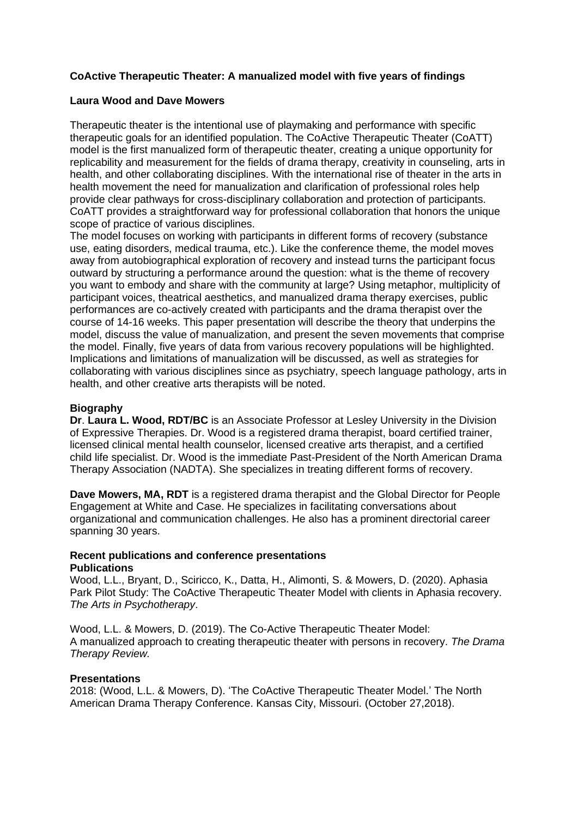# **CoActive Therapeutic Theater: A manualized model with five years of findings**

## **Laura Wood and Dave Mowers**

Therapeutic theater is the intentional use of playmaking and performance with specific therapeutic goals for an identified population. The CoActive Therapeutic Theater (CoATT) model is the first manualized form of therapeutic theater, creating a unique opportunity for replicability and measurement for the fields of drama therapy, creativity in counseling, arts in health, and other collaborating disciplines. With the international rise of theater in the arts in health movement the need for manualization and clarification of professional roles help provide clear pathways for cross-disciplinary collaboration and protection of participants. CoATT provides a straightforward way for professional collaboration that honors the unique scope of practice of various disciplines.

The model focuses on working with participants in different forms of recovery (substance use, eating disorders, medical trauma, etc.). Like the conference theme, the model moves away from autobiographical exploration of recovery and instead turns the participant focus outward by structuring a performance around the question: what is the theme of recovery you want to embody and share with the community at large? Using metaphor, multiplicity of participant voices, theatrical aesthetics, and manualized drama therapy exercises, public performances are co-actively created with participants and the drama therapist over the course of 14-16 weeks. This paper presentation will describe the theory that underpins the model, discuss the value of manualization, and present the seven movements that comprise the model. Finally, five years of data from various recovery populations will be highlighted. Implications and limitations of manualization will be discussed, as well as strategies for collaborating with various disciplines since as psychiatry, speech language pathology, arts in health, and other creative arts therapists will be noted.

## **Biography**

**Dr**. **Laura L. Wood, RDT/BC** is an Associate Professor at Lesley University in the Division of Expressive Therapies. Dr. Wood is a registered drama therapist, board certified trainer, licensed clinical mental health counselor, licensed creative arts therapist, and a certified child life specialist. Dr. Wood is the immediate Past-President of the North American Drama Therapy Association (NADTA). She specializes in treating different forms of recovery.

**Dave Mowers, MA, RDT** is a registered drama therapist and the Global Director for People Engagement at White and Case. He specializes in facilitating conversations about organizational and communication challenges. He also has a prominent directorial career spanning 30 years.

#### **Recent publications and conference presentations Publications**

Wood, L.L., Bryant, D., Sciricco, K., Datta, H., Alimonti, S. & Mowers, D. (2020). Aphasia Park Pilot Study: The CoActive Therapeutic Theater Model with clients in Aphasia recovery. *The Arts in Psychotherapy*.

Wood, L.L. & Mowers, D. (2019). The Co-Active Therapeutic Theater Model: A manualized approach to creating therapeutic theater with persons in recovery. *The Drama Therapy Review.*

#### **Presentations**

2018: (Wood, L.L. & Mowers, D). 'The CoActive Therapeutic Theater Model.' The North American Drama Therapy Conference. Kansas City, Missouri. (October 27,2018).